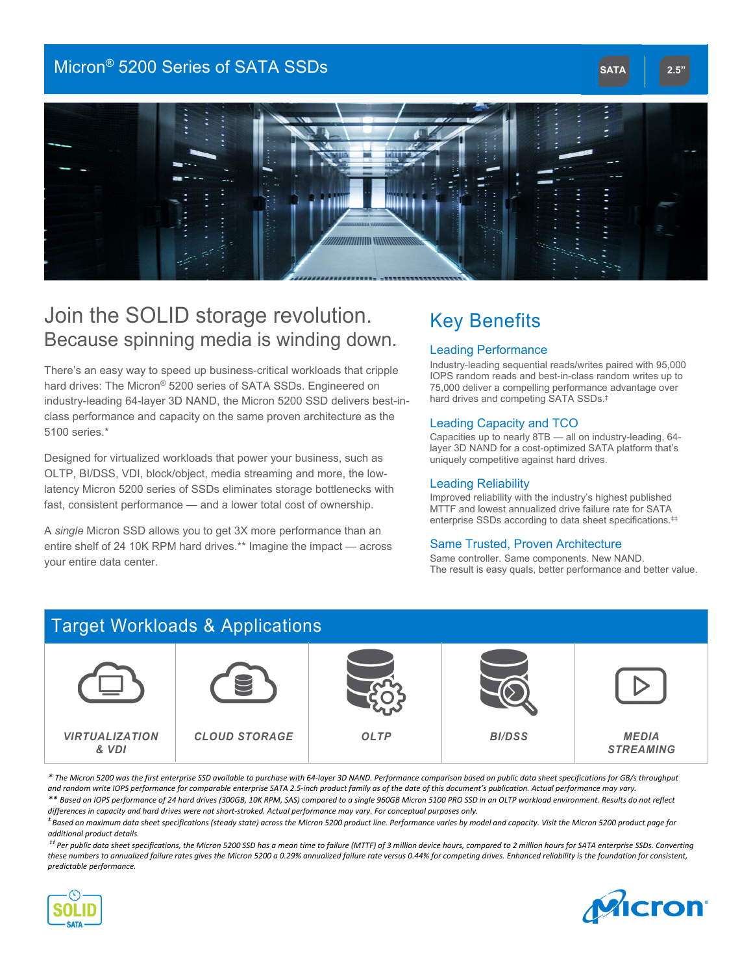### Micron<sup>®</sup> 5200 Series of SATA SSDs **SATA 2.5" SATA 2.5"**



## Join the SOLID storage revolution. Because spinning media is winding down.

There's an easy way to speed up business-critical workloads that cripple hard drives: The Micron® 5200 series of SATA SSDs. Engineered on industry-leading 64-layer 3D NAND, the Micron 5200 SSD delivers best-inclass performance and capacity on the same proven architecture as the 5100 series.\*

Designed for virtualized workloads that power your business, such as OLTP, BI/DSS, VDI, block/object, media streaming and more, the lowlatency Micron 5200 series of SSDs eliminates storage bottlenecks with fast, consistent performance — and a lower total cost of ownership.

A *single* Micron SSD allows you to get 3X more performance than an entire shelf of 24 10K RPM hard drives.\*\* Imagine the impact — across your entire data center.

# Key Benefits

### Leading Performance

Industry-leading sequential reads/writes paired with 95,000 IOPS random reads and best-in-class random writes up to 75,000 deliver a compelling performance advantage over hard drives and competing SATA SSDs.‡

### Leading Capacity and TCO

Capacities up to nearly 8TB — all on industry-leading, 64 layer 3D NAND for a cost-optimized SATA platform that's uniquely competitive against hard drives.

### Leading Reliability

Improved reliability with the industry's highest published MTTF and lowest annualized drive failure rate for SATA enterprise SSDs according to data sheet specifications.‡‡

### Same Trusted, Proven Architecture

Same controller. Same components. New NAND. The result is easy quals, better performance and better value.

## Target Workloads & Applications



*\* The Micron 5200 was the first enterprise SSD available to purchase with 64‐layer 3D NAND. Performance comparison based on public data sheet specifications for GB/s throughput and random write IOPS performance for comparable enterprise SATA 2.5‐inch product family as of the date of this document's publication. Actual performance may vary. \*\* Based on IOPS performance of 24 hard drives (300GB, 10K RPM, SAS) compared to a single 960GB Micron 5100 PRO SSD in an OLTP workload environment. Results do not reflect differences in capacity and hard drives were not short‐stroked. Actual performance may vary. For conceptual purposes only.* 

*‡ Based on maximum data sheet specifications (steady state) across the Micron 5200 product line. Performance varies by model and capacity. Visit the Micron 5200 product page for additional product details.* 

 *‡‡ Per public data sheet specifications, the Micron 5200 SSD has a mean time to failure (MTTF) of 3 million device hours, compared to 2 million hours for SATA enterprise SSDs. Converting these numbers to annualized failure rates gives the Micron 5200 a 0.29% annualized failure rate versus 0.44% for competing drives. Enhanced reliability is the foundation for consistent, predictable performance.*